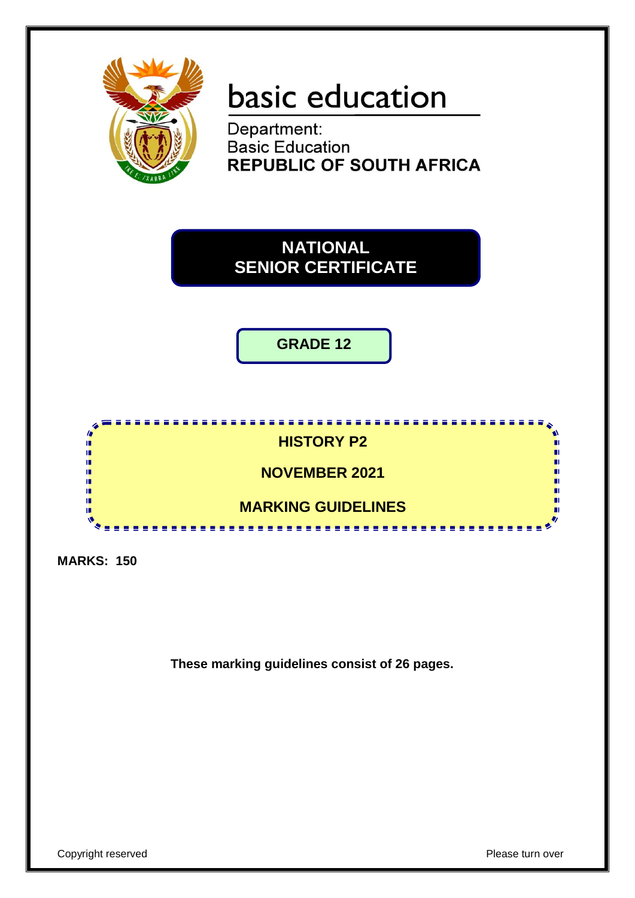

# basic education

Department: **Basic Education REPUBLIC OF SOUTH AFRICA** 



**GRADE 12**



**MARKS: 150**

**These marking guidelines consist of 26 pages.**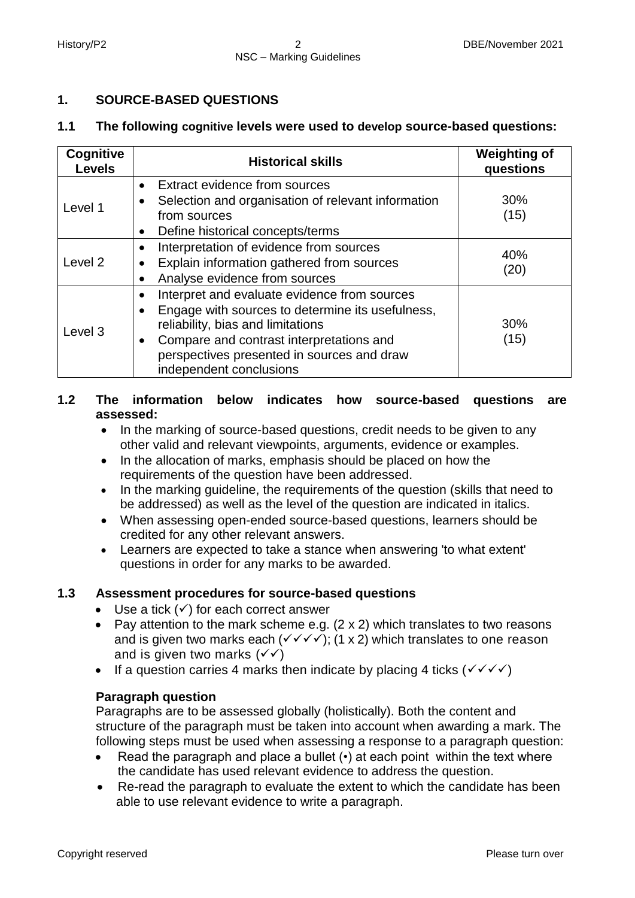# **1. SOURCE-BASED QUESTIONS**

#### **1.1 The following cognitive levels were used to develop source-based questions:**

| Cognitive<br><b>Levels</b> | <b>Historical skills</b>                                                                                                                                                                                                                                                     | <b>Weighting of</b><br>questions |
|----------------------------|------------------------------------------------------------------------------------------------------------------------------------------------------------------------------------------------------------------------------------------------------------------------------|----------------------------------|
| Level 1                    | Extract evidence from sources<br>$\bullet$<br>Selection and organisation of relevant information<br>from sources<br>Define historical concepts/terms<br>$\bullet$                                                                                                            | 30%<br>(15)                      |
| Level 2                    | Interpretation of evidence from sources<br>٠<br>Explain information gathered from sources<br>$\bullet$<br>Analyse evidence from sources                                                                                                                                      | 40%<br>(20)                      |
| Level 3                    | Interpret and evaluate evidence from sources<br>Engage with sources to determine its usefulness,<br>$\bullet$<br>reliability, bias and limitations<br>Compare and contrast interpretations and<br>٠<br>perspectives presented in sources and draw<br>independent conclusions | 30%<br>(15)                      |

# **1.2 The information below indicates how source-based questions are assessed:**

- In the marking of source-based questions, credit needs to be given to any other valid and relevant viewpoints, arguments, evidence or examples.
- In the allocation of marks, emphasis should be placed on how the requirements of the question have been addressed.
- In the marking guideline, the requirements of the question (skills that need to be addressed) as well as the level of the question are indicated in italics.
- When assessing open-ended source-based questions, learners should be credited for any other relevant answers.
- Learners are expected to take a stance when answering 'to what extent' questions in order for any marks to be awarded.

# **1.3 Assessment procedures for source-based questions**

- $\bullet$  Use a tick  $(\checkmark)$  for each correct answer
- Pav attention to the mark scheme e.g.  $(2 \times 2)$  which translates to two reasons and is given two marks each  $(\sqrt{\sqrt{}})$ ; (1 x 2) which translates to one reason and is given two marks  $(\sqrt{\sqrt})$
- If a question carries 4 marks then indicate by placing 4 ticks ( $\checkmark \checkmark \checkmark$ )

# **Paragraph question**

Paragraphs are to be assessed globally (holistically). Both the content and structure of the paragraph must be taken into account when awarding a mark. The following steps must be used when assessing a response to a paragraph question:

- Read the paragraph and place a bullet (•) at each point within the text where the candidate has used relevant evidence to address the question.
- Re-read the paragraph to evaluate the extent to which the candidate has been able to use relevant evidence to write a paragraph.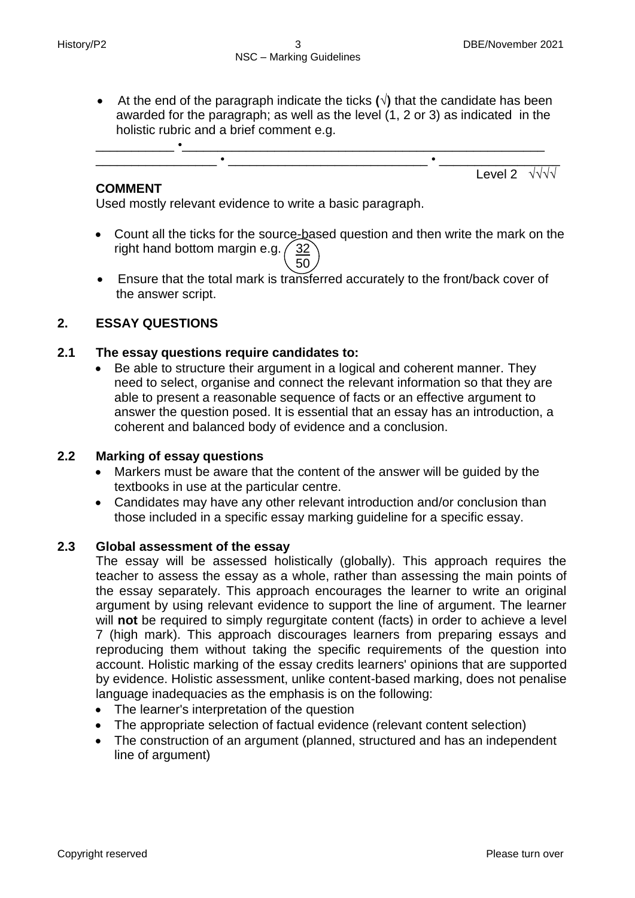At the end of the paragraph indicate the ticks **(√)** that the candidate has been awarded for the paragraph; as well as the level (1, 2 or 3) as indicated in the holistic rubric and a brief comment e.g.



# **COMMENT**

Used mostly relevant evidence to write a basic paragraph.

- Count all the ticks for the source-based question and then write the mark on the right hand bottom margin e.g.  $\frac{32}{ }$  $\setminus$  50
	- Ensure that the total mark is transferred accurately to the front/back cover of the answer script.

# **2. ESSAY QUESTIONS**

# **2.1 The essay questions require candidates to:**

 Be able to structure their argument in a logical and coherent manner. They need to select, organise and connect the relevant information so that they are able to present a reasonable sequence of facts or an effective argument to answer the question posed. It is essential that an essay has an introduction, a coherent and balanced body of evidence and a conclusion.

# **2.2 Marking of essay questions**

- Markers must be aware that the content of the answer will be guided by the textbooks in use at the particular centre.
- Candidates may have any other relevant introduction and/or conclusion than those included in a specific essay marking guideline for a specific essay.

#### **2.3 Global assessment of the essay**

The essay will be assessed holistically (globally). This approach requires the teacher to assess the essay as a whole, rather than assessing the main points of the essay separately. This approach encourages the learner to write an original argument by using relevant evidence to support the line of argument. The learner will **not** be required to simply regurgitate content (facts) in order to achieve a level 7 (high mark). This approach discourages learners from preparing essays and reproducing them without taking the specific requirements of the question into account. Holistic marking of the essay credits learners' opinions that are supported by evidence. Holistic assessment, unlike content-based marking, does not penalise language inadequacies as the emphasis is on the following:

- The learner's interpretation of the question
- The appropriate selection of factual evidence (relevant content selection)
- The construction of an argument (planned, structured and has an independent line of argument)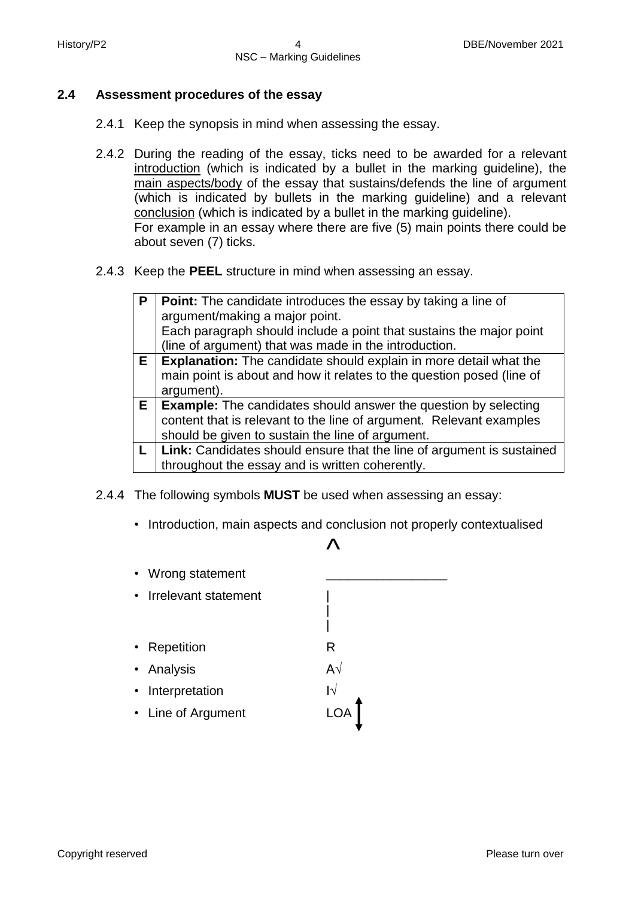#### **2.4 Assessment procedures of the essay**

- 2.4.1 Keep the synopsis in mind when assessing the essay.
- 2.4.2 During the reading of the essay, ticks need to be awarded for a relevant introduction (which is indicated by a bullet in the marking guideline), the main aspects/body of the essay that sustains/defends the line of argument (which is indicated by bullets in the marking guideline) and a relevant conclusion (which is indicated by a bullet in the marking guideline). For example in an essay where there are five (5) main points there could be about seven (7) ticks.
- 2.4.3 Keep the **PEEL** structure in mind when assessing an essay.

| P  | <b>Point:</b> The candidate introduces the essay by taking a line of     |
|----|--------------------------------------------------------------------------|
|    | argument/making a major point.                                           |
|    | Each paragraph should include a point that sustains the major point      |
|    | (line of argument) that was made in the introduction.                    |
| Е. | <b>Explanation:</b> The candidate should explain in more detail what the |
|    | main point is about and how it relates to the question posed (line of    |
|    | argument).                                                               |
|    | $E$   Example: The candidates should answer the question by selecting    |
|    | content that is relevant to the line of argument. Relevant examples      |
|    | should be given to sustain the line of argument.                         |
|    | Link: Candidates should ensure that the line of argument is sustained    |
|    | throughout the essay and is written coherently.                          |

- 2.4.4 The following symbols **MUST** be used when assessing an essay:
	- Introduction, main aspects and conclusion not properly contextualised

# $\mathcal{L}$

|  $\blacksquare$ 

- Wrong statement
- Irrelevant statement |
- Repetition **R**
- Analysis A√
- Interpretation I√
- Line of Argument LOA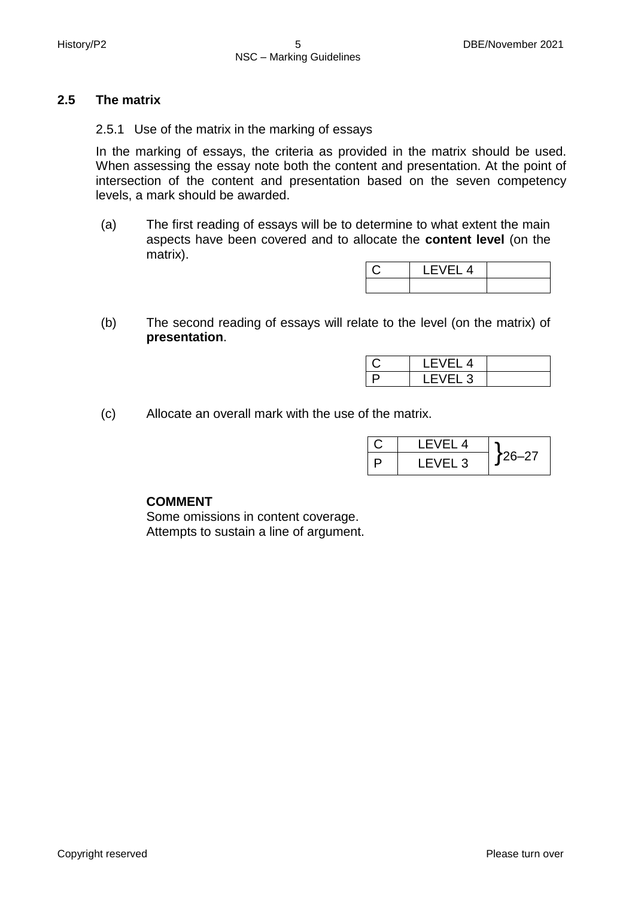#### **2.5 The matrix**

2.5.1 Use of the matrix in the marking of essays

In the marking of essays, the criteria as provided in the matrix should be used. When assessing the essay note both the content and presentation. At the point of intersection of the content and presentation based on the seven competency levels, a mark should be awarded.

(a) The first reading of essays will be to determine to what extent the main aspects have been covered and to allocate the **content level** (on the matrix).

| LEVEL 4 |  |
|---------|--|
|         |  |

(b) The second reading of essays will relate to the level (on the matrix) of **presentation**.

|   | 4 |  |
|---|---|--|
| ⊐ | ں |  |

(c) Allocate an overall mark with the use of the matrix.

| I FVFI 4 |        |
|----------|--------|
| LEVEL 3  | ,26–27 |

#### **COMMENT**

Some omissions in content coverage. Attempts to sustain a line of argument.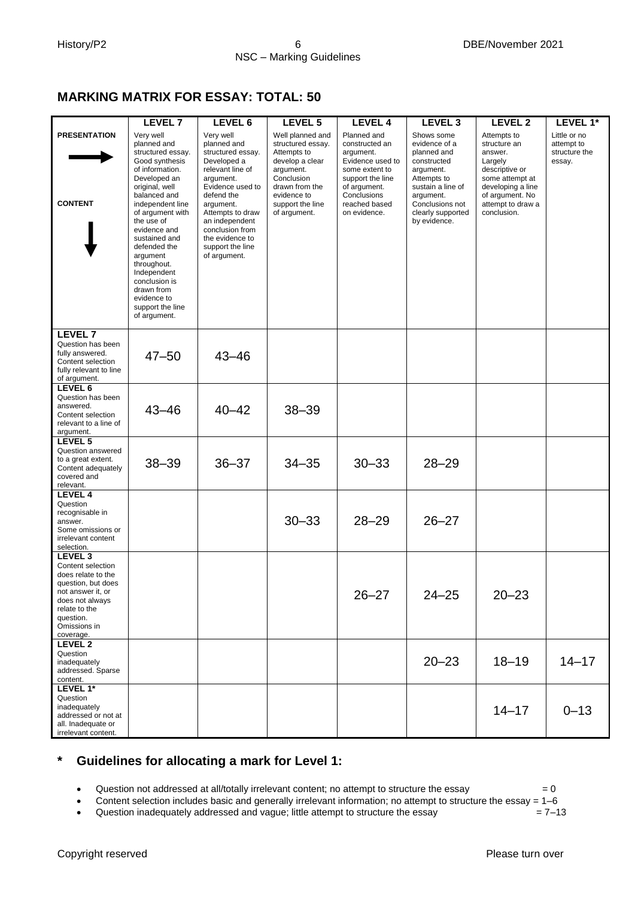# **MARKING MATRIX FOR ESSAY: TOTAL: 50**

|                                                                                                                                                                                        | LEVEL 7                                                                                                                                                                                                                                                                                                                                                                 | LEVEL 6                                                                                                                                                                                                                                                      | LEVEL 5                                                                                                                                                                 | <b>LEVEL 4</b>                                                                                                                                                       | LEVEL <sub>3</sub>                                                                                                                                                              | <b>LEVEL 2</b>                                                                                                                                                     | LEVEL 1*                                              |
|----------------------------------------------------------------------------------------------------------------------------------------------------------------------------------------|-------------------------------------------------------------------------------------------------------------------------------------------------------------------------------------------------------------------------------------------------------------------------------------------------------------------------------------------------------------------------|--------------------------------------------------------------------------------------------------------------------------------------------------------------------------------------------------------------------------------------------------------------|-------------------------------------------------------------------------------------------------------------------------------------------------------------------------|----------------------------------------------------------------------------------------------------------------------------------------------------------------------|---------------------------------------------------------------------------------------------------------------------------------------------------------------------------------|--------------------------------------------------------------------------------------------------------------------------------------------------------------------|-------------------------------------------------------|
| <b>PRESENTATION</b><br><b>CONTENT</b>                                                                                                                                                  | Very well<br>planned and<br>structured essay.<br>Good synthesis<br>of information.<br>Developed an<br>original, well<br>balanced and<br>independent line<br>of argument with<br>the use of<br>evidence and<br>sustained and<br>defended the<br>argument<br>throughout.<br>Independent<br>conclusion is<br>drawn from<br>evidence to<br>support the line<br>of argument. | Very well<br>planned and<br>structured essay.<br>Developed a<br>relevant line of<br>argument.<br>Evidence used to<br>defend the<br>argument.<br>Attempts to draw<br>an independent<br>conclusion from<br>the evidence to<br>support the line<br>of argument. | Well planned and<br>structured essay.<br>Attempts to<br>develop a clear<br>argument.<br>Conclusion<br>drawn from the<br>evidence to<br>support the line<br>of argument. | Planned and<br>constructed an<br>argument.<br>Evidence used to<br>some extent to<br>support the line<br>of argument.<br>Conclusions<br>reached based<br>on evidence. | Shows some<br>evidence of a<br>planned and<br>constructed<br>argument.<br>Attempts to<br>sustain a line of<br>argument.<br>Conclusions not<br>clearly supported<br>by evidence. | Attempts to<br>structure an<br>answer.<br>Largely<br>descriptive or<br>some attempt at<br>developing a line<br>of argument. No<br>attempt to draw a<br>conclusion. | Little or no<br>attempt to<br>structure the<br>essay. |
| LEVEL <sub>7</sub><br>Question has been<br>fully answered.<br>Content selection<br>fully relevant to line<br>of argument.                                                              | $47 - 50$                                                                                                                                                                                                                                                                                                                                                               | $43 - 46$                                                                                                                                                                                                                                                    |                                                                                                                                                                         |                                                                                                                                                                      |                                                                                                                                                                                 |                                                                                                                                                                    |                                                       |
| LEVEL <sub>6</sub><br>Question has been<br>answered.<br>Content selection<br>relevant to a line of<br>argument.                                                                        | $43 - 46$                                                                                                                                                                                                                                                                                                                                                               | $40 - 42$                                                                                                                                                                                                                                                    | $38 - 39$                                                                                                                                                               |                                                                                                                                                                      |                                                                                                                                                                                 |                                                                                                                                                                    |                                                       |
| LEVEL 5<br>Question answered<br>to a great extent.<br>Content adequately<br>covered and<br>relevant.                                                                                   | $38 - 39$                                                                                                                                                                                                                                                                                                                                                               | $36 - 37$                                                                                                                                                                                                                                                    | $34 - 35$                                                                                                                                                               | $30 - 33$                                                                                                                                                            | $28 - 29$                                                                                                                                                                       |                                                                                                                                                                    |                                                       |
| LEVEL 4<br>Question<br>recognisable in<br>answer.<br>Some omissions or<br>irrelevant content<br>selection.                                                                             |                                                                                                                                                                                                                                                                                                                                                                         |                                                                                                                                                                                                                                                              | $30 - 33$                                                                                                                                                               | $28 - 29$                                                                                                                                                            | $26 - 27$                                                                                                                                                                       |                                                                                                                                                                    |                                                       |
| LEVEL <sub>3</sub><br>Content selection<br>does relate to the<br>question, but does<br>not answer it, or<br>does not always<br>relate to the<br>question.<br>Omissions in<br>coverage. |                                                                                                                                                                                                                                                                                                                                                                         |                                                                                                                                                                                                                                                              |                                                                                                                                                                         | $26 - 27$                                                                                                                                                            | $24 - 25$                                                                                                                                                                       | $20 - 23$                                                                                                                                                          |                                                       |
| LEVEL <sub>2</sub><br>Question<br>inadequately<br>addressed. Sparse<br>content.                                                                                                        |                                                                                                                                                                                                                                                                                                                                                                         |                                                                                                                                                                                                                                                              |                                                                                                                                                                         |                                                                                                                                                                      | $20 - 23$                                                                                                                                                                       | $18 - 19$                                                                                                                                                          | $14 - 17$                                             |
| LEVEL 1*<br>Question<br>inadequately<br>addressed or not at<br>all. Inadequate or<br>irrelevant content.                                                                               |                                                                                                                                                                                                                                                                                                                                                                         |                                                                                                                                                                                                                                                              |                                                                                                                                                                         |                                                                                                                                                                      |                                                                                                                                                                                 | $14 - 17$                                                                                                                                                          | $0 - 13$                                              |

# **\* Guidelines for allocating a mark for Level 1:**

• Question not addressed at all/totally irrelevant content; no attempt to structure the essay  $= 0$ 

• Content selection includes basic and generally irrelevant information; no attempt to structure the essay =  $1-6$ <br>• Question inadequately addressed and vague; little attempt to structure the essay =  $7-13$ 

• Question inadequately addressed and vague; little attempt to structure the essay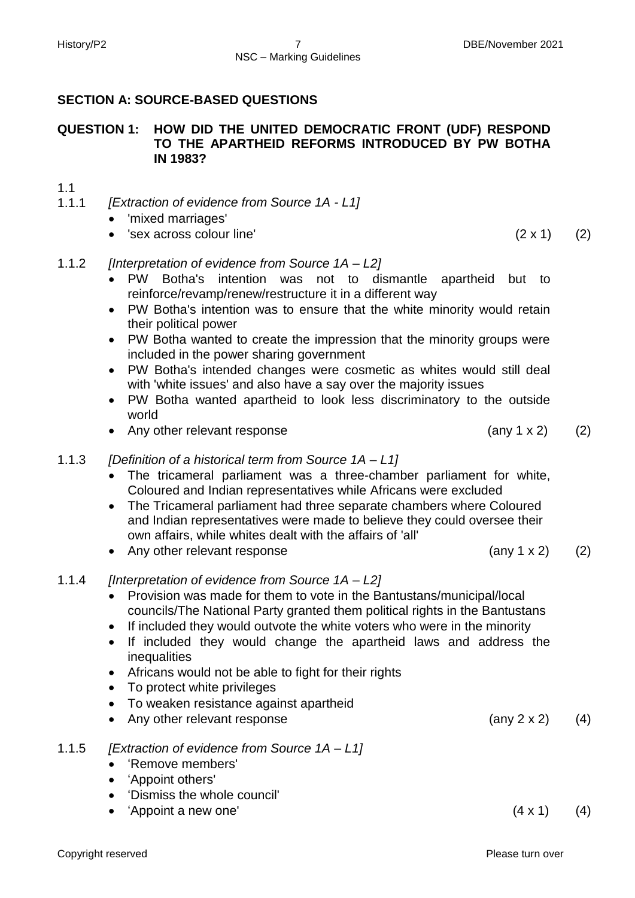# **SECTION A: SOURCE-BASED QUESTIONS**

# **QUESTION 1: HOW DID THE UNITED DEMOCRATIC FRONT (UDF) RESPOND TO THE APARTHEID REFORMS INTRODUCED BY PW BOTHA IN 1983?**

# 1.1

- 1.1.1 *[Extraction of evidence from Source 1A - L1]*
	- 'mixed marriages'
	- $\text{Sex}$  across colour line' (2 x 1) (2)

# 1.1.2 *[Interpretation of evidence from Source 1A – L2]*

- PW Botha's intention was not to dismantle apartheid but to reinforce/revamp/renew/restructure it in a different way
- PW Botha's intention was to ensure that the white minority would retain their political power
- PW Botha wanted to create the impression that the minority groups were included in the power sharing government
- PW Botha's intended changes were cosmetic as whites would still deal with 'white issues' and also have a say over the majority issues
- PW Botha wanted apartheid to look less discriminatory to the outside world
- Any other relevant response (any 1 x 2) (2)

# 1.1.3 *[Definition of a historical term from Source 1A – L1]*

- The tricameral parliament was a three-chamber parliament for white, Coloured and Indian representatives while Africans were excluded
- The Tricameral parliament had three separate chambers where Coloured and Indian representatives were made to believe they could oversee their own affairs, while whites dealt with the affairs of 'all'
- Any other relevant response (any 1 x 2) (2)
- 1.1.4 *[Interpretation of evidence from Source 1A – L2]*
	- Provision was made for them to vote in the Bantustans/municipal/local councils/The National Party granted them political rights in the Bantustans
	- If included they would outvote the white voters who were in the minority
	- If included they would change the apartheid laws and address the inequalities

 $'$ Appoint a new one'  $(4 \times 1)$  (4)

- Africans would not be able to fight for their rights
- To protect white privileges
- To weaken resistance against apartheid
- Any other relevant response (any 2 x 2) (4)

'Dismiss the whole council'

 'Remove members' 'Appoint others'

1.1.5 *[Extraction of evidence from Source 1A – L1]*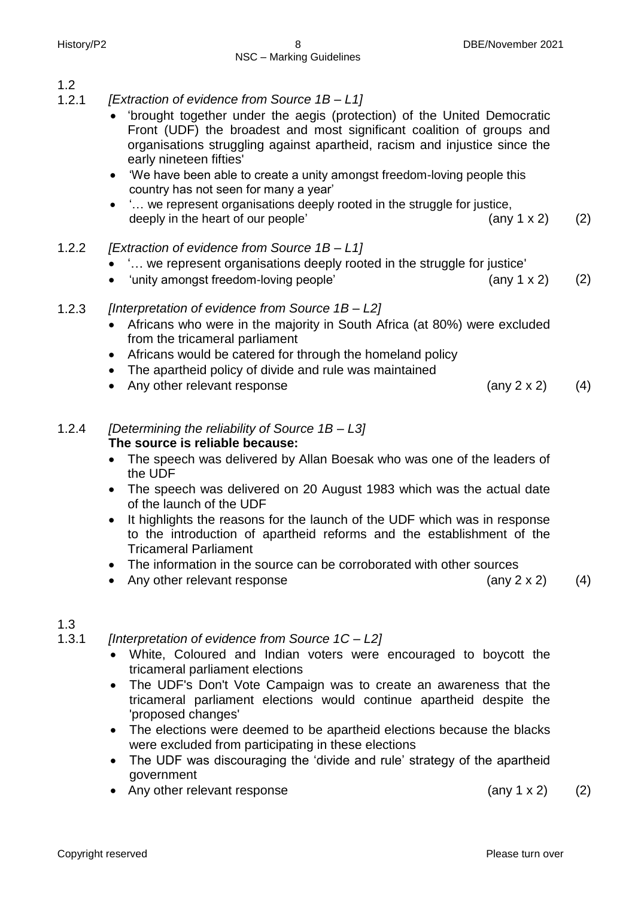1.2

- 1.2.1 *[Extraction of evidence from Source 1B – L1]*
	- 'brought together under the aegis (protection) of the United Democratic Front (UDF) the broadest and most significant coalition of groups and organisations struggling against apartheid, racism and injustice since the early nineteen fifties'
	- 'We have been able to create a unity amongst freedom-loving people this country has not seen for many a year'
	- '… we represent organisations deeply rooted in the struggle for justice, deeply in the heart of our people'  $\qquad \qquad$   $\qquad \qquad$   $\qquad$   $\qquad$   $\qquad$   $\qquad$   $\qquad$   $\qquad$   $\qquad$   $\qquad$   $\qquad$   $\qquad$   $\qquad$   $\qquad$   $\qquad$   $\qquad$   $\qquad$   $\qquad$   $\qquad$   $\qquad$   $\qquad$   $\qquad$   $\qquad$   $\qquad$   $\qquad$   $\qquad$   $\qquad$   $\qquad$   $\qquad$   $\qquad$
- 1.2.2 *[Extraction of evidence from Source 1B – L1]*
	- '… we represent organisations deeply rooted in the struggle for justice'
	- 'unity amongst freedom-loving people'  $(2)$

# 1.2.3 *[Interpretation of evidence from Source 1B – L2]*

- Africans who were in the majority in South Africa (at 80%) were excluded from the tricameral parliament
- Africans would be catered for through the homeland policy
- The apartheid policy of divide and rule was maintained
- Any other relevant response (any 2 x 2) (4)
- 1.2.4 *[Determining the reliability of Source 1B – L3]* **The source is reliable because:**
	- The speech was delivered by Allan Boesak who was one of the leaders of the UDF
	- The speech was delivered on 20 August 1983 which was the actual date of the launch of the UDF
	- It highlights the reasons for the launch of the UDF which was in response to the introduction of apartheid reforms and the establishment of the Tricameral Parliament
	- The information in the source can be corroborated with other sources
	- Any other relevant response  $(4)$
- 

# 1.3

1.3.1 *[Interpretation of evidence from Source 1C – L2]*

- White, Coloured and Indian voters were encouraged to boycott the tricameral parliament elections
- The UDF's Don't Vote Campaign was to create an awareness that the tricameral parliament elections would continue apartheid despite the 'proposed changes'
- The elections were deemed to be apartheid elections because the blacks were excluded from participating in these elections
- The UDF was discouraging the 'divide and rule' strategy of the apartheid government
- Any other relevant response (any 1 x 2) (2)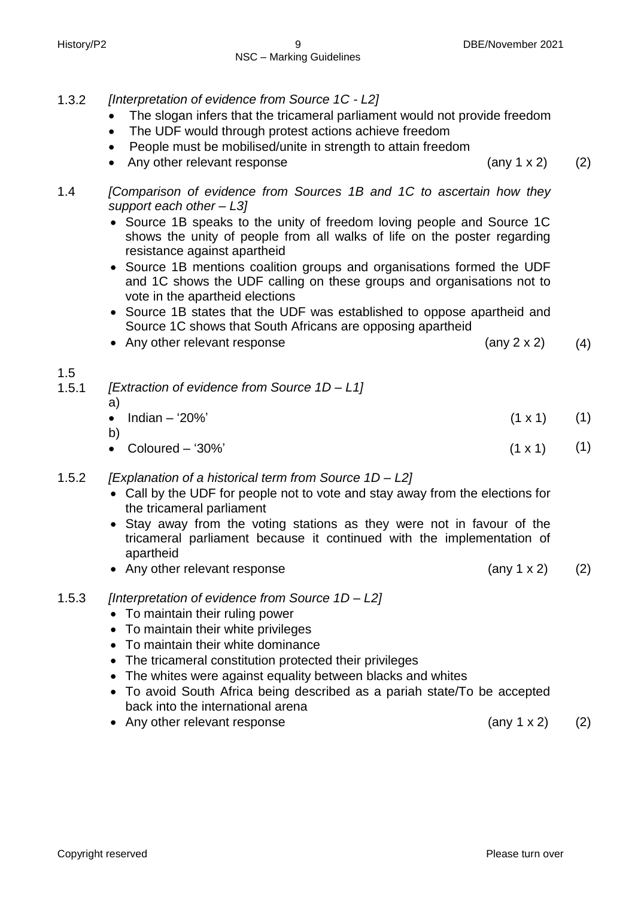- 1.3.2 *[Interpretation of evidence from Source 1C - L2]*
	- The slogan infers that the tricameral parliament would not provide freedom
	- The UDF would through protest actions achieve freedom
	- People must be mobilised/unite in strength to attain freedom
	- Any other relevant response (any 1 x 2) (2)
- 1.4 *[Comparison of evidence from Sources 1B and 1C to ascertain how they support each other – L3]*
	- Source 1B speaks to the unity of freedom loving people and Source 1C shows the unity of people from all walks of life on the poster regarding resistance against apartheid
	- Source 1B mentions coalition groups and organisations formed the UDF and 1C shows the UDF calling on these groups and organisations not to vote in the apartheid elections
	- Source 1B states that the UDF was established to oppose apartheid and Source 1C shows that South Africans are opposing apartheid
	- Any other relevant response (any 2 x 2) (4)

| 1.5   |                                                 |                |
|-------|-------------------------------------------------|----------------|
| 1.5.1 | [Extraction of evidence from Source $1D - L1$ ] |                |
|       | a)                                              |                |
|       | Indian $-$ '20%'<br>$\bullet$                   | $(1 \times 1)$ |
|       | b.                                              |                |

- Coloured '30%'  $(1 \times 1)$ (1)
- 1.5.2 *[Explanation of a historical term from Source 1D – L2]*
	- Call by the UDF for people not to vote and stay away from the elections for the tricameral parliament
	- Stay away from the voting stations as they were not in favour of the tricameral parliament because it continued with the implementation of apartheid
	- Any other relevant response (any 1 x 2) (2)
- 1.5.3 *[Interpretation of evidence from Source 1D – L2]*
	- To maintain their ruling power
	- To maintain their white privileges
	- To maintain their white dominance
	- The tricameral constitution protected their privileges
	- The whites were against equality between blacks and whites
	- To avoid South Africa being described as a pariah state/To be accepted back into the international arena
	- Any other relevant response (any 1 x 2) (2)
- 

(1)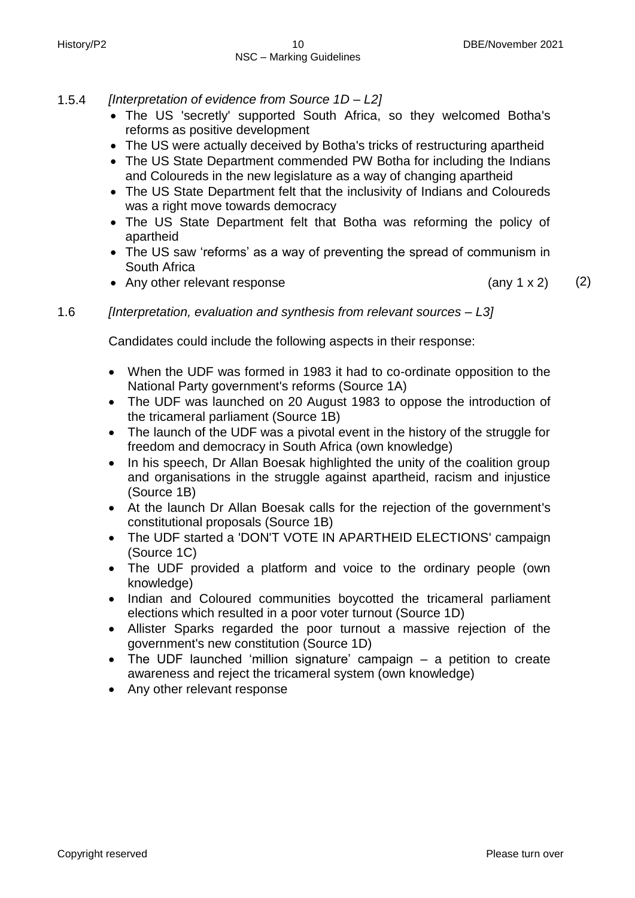- 1.5.4 *[Interpretation of evidence from Source 1D – L2]*
	- The US 'secretly' supported South Africa, so they welcomed Botha's reforms as positive development
	- The US were actually deceived by Botha's tricks of restructuring apartheid
	- The US State Department commended PW Botha for including the Indians and Coloureds in the new legislature as a way of changing apartheid
	- The US State Department felt that the inclusivity of Indians and Coloureds was a right move towards democracy
	- The US State Department felt that Botha was reforming the policy of apartheid
	- The US saw 'reforms' as a way of preventing the spread of communism in South Africa
	- Any other relevant response (any 1 x 2) (2)

1.6 *[Interpretation, evaluation and synthesis from relevant sources – L3]*

Candidates could include the following aspects in their response:

- When the UDF was formed in 1983 it had to co-ordinate opposition to the National Party government's reforms (Source 1A)
- The UDF was launched on 20 August 1983 to oppose the introduction of the tricameral parliament (Source 1B)
- The launch of the UDF was a pivotal event in the history of the struggle for freedom and democracy in South Africa (own knowledge)
- In his speech, Dr Allan Boesak highlighted the unity of the coalition group and organisations in the struggle against apartheid, racism and injustice (Source 1B)
- At the launch Dr Allan Boesak calls for the rejection of the government's constitutional proposals (Source 1B)
- The UDF started a 'DON'T VOTE IN APARTHEID ELECTIONS' campaign (Source 1C)
- The UDF provided a platform and voice to the ordinary people (own knowledge)
- Indian and Coloured communities boycotted the tricameral parliament elections which resulted in a poor voter turnout (Source 1D)
- Allister Sparks regarded the poor turnout a massive rejection of the government's new constitution (Source 1D)
- The UDF launched 'million signature' campaign a petition to create awareness and reject the tricameral system (own knowledge)
- Any other relevant response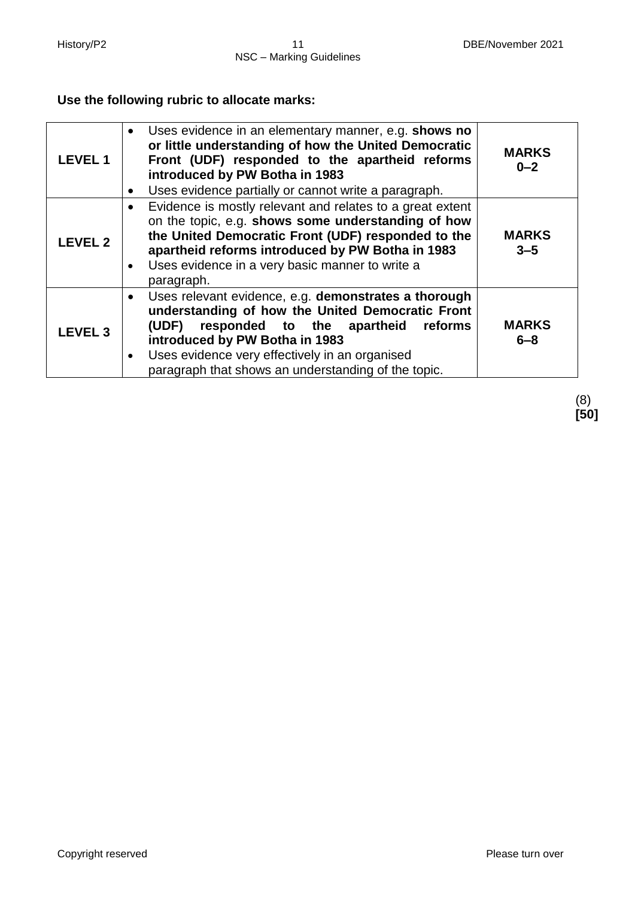# **Use the following rubric to allocate marks:**

| <b>LEVEL1</b>  | Uses evidence in an elementary manner, e.g. shows no<br>$\bullet$<br>or little understanding of how the United Democratic<br>Front (UDF) responded to the apartheid reforms<br>introduced by PW Botha in 1983<br>Uses evidence partially or cannot write a paragraph.                                              | <b>MARKS</b><br>$0 - 2$ |
|----------------|--------------------------------------------------------------------------------------------------------------------------------------------------------------------------------------------------------------------------------------------------------------------------------------------------------------------|-------------------------|
| <b>LEVEL 2</b> | Evidence is mostly relevant and relates to a great extent<br>on the topic, e.g. shows some understanding of how<br>the United Democratic Front (UDF) responded to the<br>apartheid reforms introduced by PW Botha in 1983<br>Uses evidence in a very basic manner to write a<br>paragraph.                         | <b>MARKS</b><br>$3 - 5$ |
| <b>LEVEL 3</b> | Uses relevant evidence, e.g. demonstrates a thorough<br>understanding of how the United Democratic Front<br>responded to the apartheid<br>(UDF)<br>reforms<br>introduced by PW Botha in 1983<br>Uses evidence very effectively in an organised<br>$\bullet$<br>paragraph that shows an understanding of the topic. | <b>MARKS</b><br>$6 - 8$ |

(8) **[50]**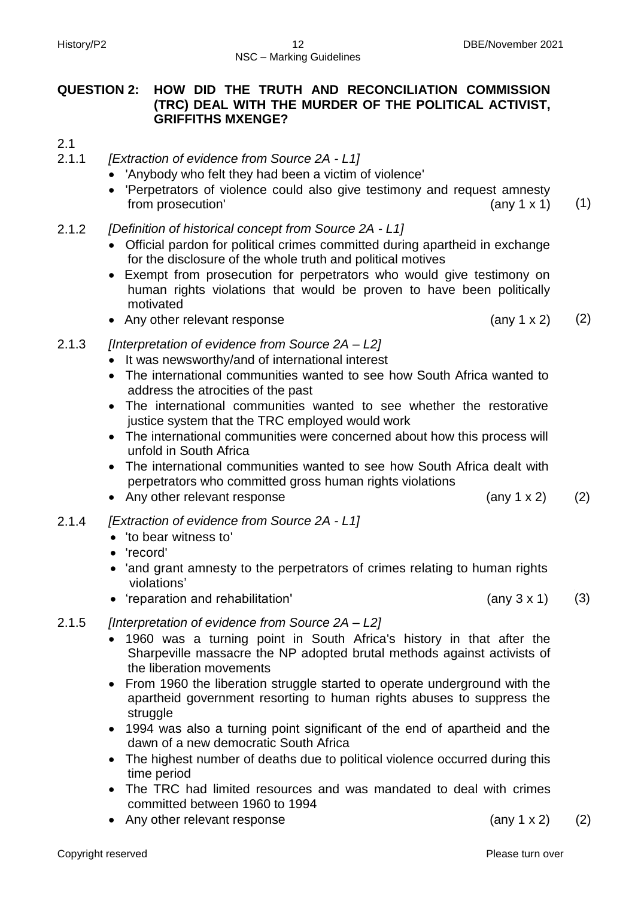# **QUESTION 2: HOW DID THE TRUTH AND RECONCILIATION COMMISSION (TRC) DEAL WITH THE MURDER OF THE POLITICAL ACTIVIST, GRIFFITHS MXENGE?**

- 2.1
- 2.1.1 *[Extraction of evidence from Source 2A - L1]*
	- 'Anybody who felt they had been a victim of violence'
	- 'Perpetrators of violence could also give testimony and request amnesty from prosecution'  $(\text{any } 1 \times 1)$   $(1)$
- 2.1.2 *[Definition of historical concept from Source 2A - L1]*
	- Official pardon for political crimes committed during apartheid in exchange for the disclosure of the whole truth and political motives
	- Exempt from prosecution for perpetrators who would give testimony on human rights violations that would be proven to have been politically motivated
	- Any other relevant response (any 1 x 2) (2)
- 2.1.3 *[Interpretation of evidence from Source 2A – L2]*
	- It was newsworthy/and of international interest
	- The international communities wanted to see how South Africa wanted to address the atrocities of the past
	- The international communities wanted to see whether the restorative justice system that the TRC employed would work
	- The international communities were concerned about how this process will unfold in South Africa
	- The international communities wanted to see how South Africa dealt with perpetrators who committed gross human rights violations
	- Any other relevant response (any 1 x 2) (2)
- 2.1.4 *[Extraction of evidence from Source 2A - L1]*
	- 'to bear witness to'
	- 'record'
	- 'and grant amnesty to the perpetrators of crimes relating to human rights violations'
	- 'reparation and rehabilitation' (any 3 x 1)
- 2.1.5 *[Interpretation of evidence from Source 2A – L2]*
	- 1960 was a turning point in South Africa's history in that after the Sharpeville massacre the NP adopted brutal methods against activists of the liberation movements
	- From 1960 the liberation struggle started to operate underground with the apartheid government resorting to human rights abuses to suppress the struggle
	- 1994 was also a turning point significant of the end of apartheid and the dawn of a new democratic South Africa
	- The highest number of deaths due to political violence occurred during this time period
	- The TRC had limited resources and was mandated to deal with crimes committed between 1960 to 1994
	- Any other relevant response (any 1 x 2) (2)

(3)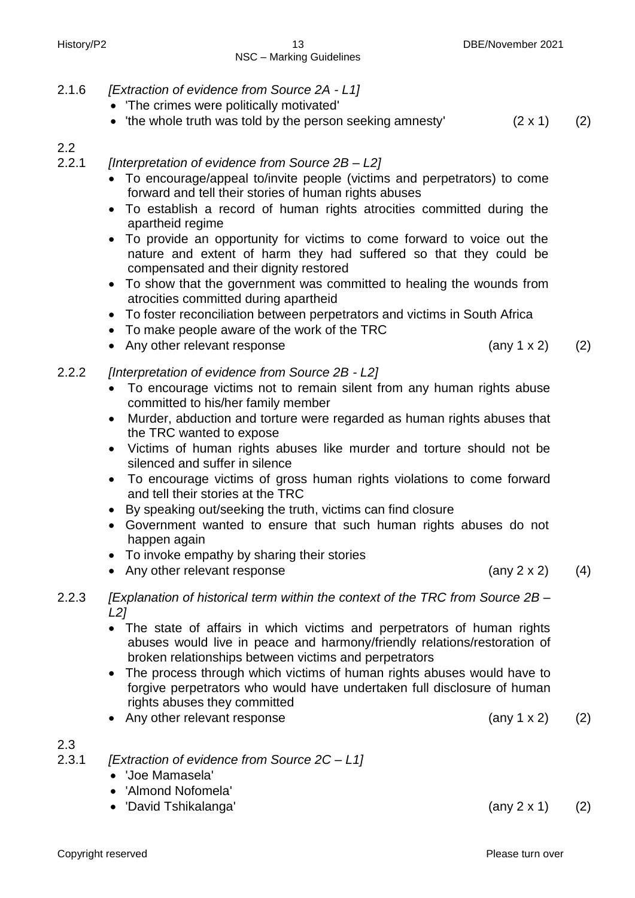#### 2.1.6 *[Extraction of evidence from Source 2A - L1]*

- 'The crimes were politically motivated'
- 'the whole truth was told by the person seeking amnesty'  $(2 \times 1)$  (2)

# 2.2

2.2.1 *[Interpretation of evidence from Source 2B – L2]*

- To encourage/appeal to/invite people (victims and perpetrators) to come forward and tell their stories of human rights abuses
- To establish a record of human rights atrocities committed during the apartheid regime
- To provide an opportunity for victims to come forward to voice out the nature and extent of harm they had suffered so that they could be compensated and their dignity restored
- To show that the government was committed to healing the wounds from atrocities committed during apartheid
- To foster reconciliation between perpetrators and victims in South Africa
- To make people aware of the work of the TRC
- Any other relevant response (any 1 x 2) (2)

2.2.2 *[Interpretation of evidence from Source 2B - L2]*

- To encourage victims not to remain silent from any human rights abuse committed to his/her family member
- Murder, abduction and torture were regarded as human rights abuses that the TRC wanted to expose
- Victims of human rights abuses like murder and torture should not be silenced and suffer in silence
- To encourage victims of gross human rights violations to come forward and tell their stories at the TRC
- By speaking out/seeking the truth, victims can find closure
- Government wanted to ensure that such human rights abuses do not happen again
- To invoke empathy by sharing their stories
- Any other relevant response (any 2 x 2)
- 2.2.3 *[Explanation of historical term within the context of the TRC from Source 2B – L2]*
	- The state of affairs in which victims and perpetrators of human rights abuses would live in peace and harmony/friendly relations/restoration of broken relationships between victims and perpetrators
	- The process through which victims of human rights abuses would have to forgive perpetrators who would have undertaken full disclosure of human rights abuses they committed
	- Any other relevant response (any 1 x 2) (2)

# 2.3

- 2.3.1 *[Extraction of evidence from Source 2C – L1]*
	- 'Joe Mamasela'
	- 'Almond Nofomela'
	- 'David Tshikalanga' (any 2 x 1) (2)

(4)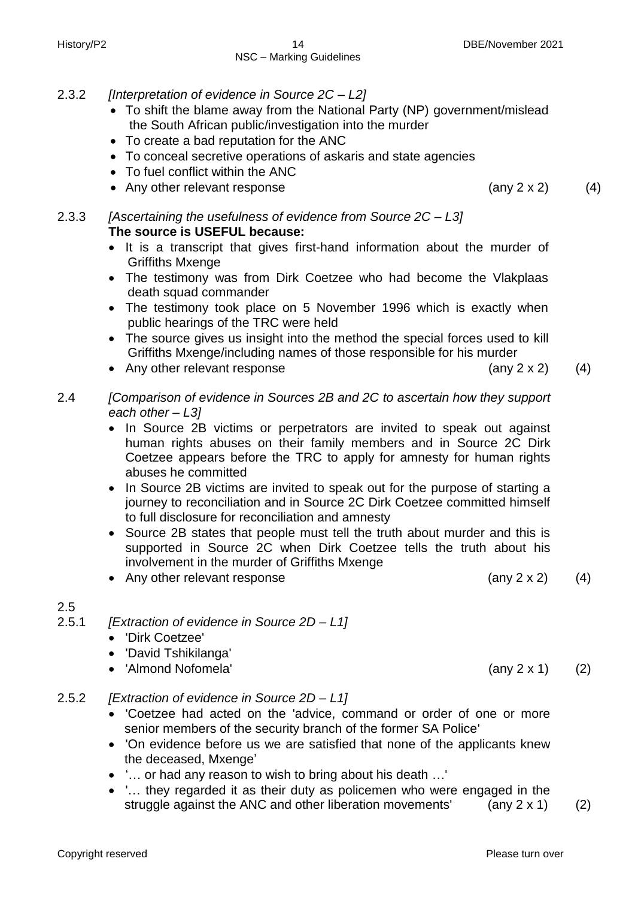#### History/P2 14 DBE/November 2021 NSC – Marking Guidelines

- 2.3.2 *[Interpretation of evidence in Source 2C – L2]*
	- To shift the blame away from the National Party (NP) government/mislead the South African public/investigation into the murder
	- To create a bad reputation for the ANC
	- To conceal secretive operations of askaris and state agencies
	- To fuel conflict within the ANC
	- Any other relevant response (any 2 x 2) (4)

2.3.3 *[Ascertaining the usefulness of evidence from Source 2C – L3]* **The source is USEFUL because:**

- It is a transcript that gives first-hand information about the murder of Griffiths Mxenge
- The testimony was from Dirk Coetzee who had become the Vlakplaas death squad commander
- The testimony took place on 5 November 1996 which is exactly when public hearings of the TRC were held
- The source gives us insight into the method the special forces used to kill Griffiths Mxenge/including names of those responsible for his murder
- Any other relevant response  $(4)$
- 2.4 *[Comparison of evidence in Sources 2B and 2C to ascertain how they support each other – L3]*
	- In Source 2B victims or perpetrators are invited to speak out against human rights abuses on their family members and in Source 2C Dirk Coetzee appears before the TRC to apply for amnesty for human rights abuses he committed
	- In Source 2B victims are invited to speak out for the purpose of starting a journey to reconciliation and in Source 2C Dirk Coetzee committed himself to full disclosure for reconciliation and amnesty
	- Source 2B states that people must tell the truth about murder and this is supported in Source 2C when Dirk Coetzee tells the truth about his involvement in the murder of Griffiths Mxenge

• Any other relevant response  $(4)$ 

#### 2.5

- 2.5.1 *[Extraction of evidence in Source 2D – L1]*
	- 'Dirk Coetzee'
	- 'David Tshikilanga'
	- 'Almond Nofomela' (any 2 x 1) (2)
- 2.5.2 *[Extraction of evidence in Source 2D – L1]*
	- 'Coetzee had acted on the 'advice, command or order of one or more senior members of the security branch of the former SA Police'
	- 'On evidence before us we are satisfied that none of the applicants knew the deceased, Mxenge'
	- '… or had any reason to wish to bring about his death …'
	- '… they regarded it as their duty as policemen who were engaged in the struggle against the ANC and other liberation movements'  $(any 2 x 1)$  (2)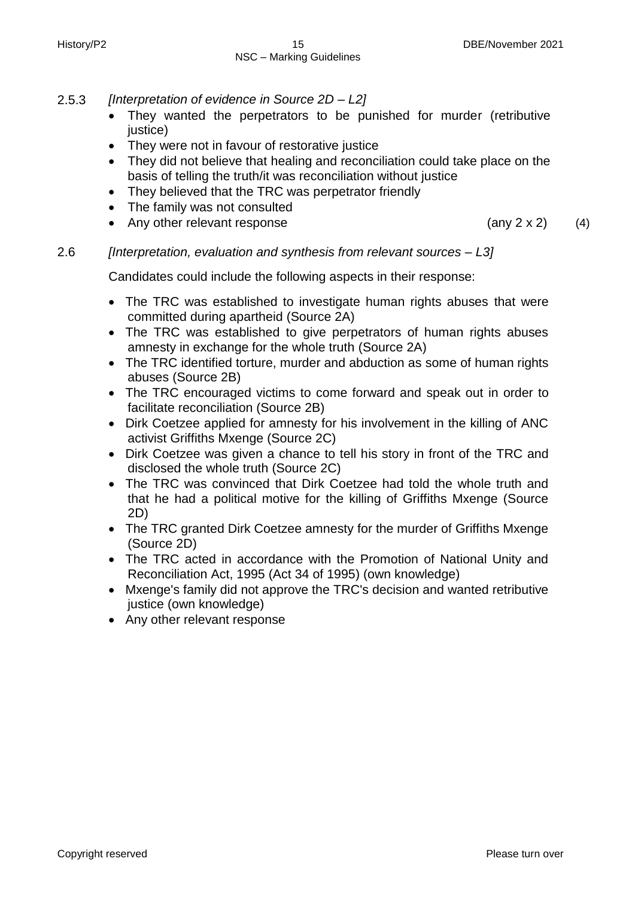- 2.5.3 *[Interpretation of evidence in Source 2D – L2]*
	- They wanted the perpetrators to be punished for murder (retributive justice)
	- They were not in favour of restorative justice
	- They did not believe that healing and reconciliation could take place on the basis of telling the truth/it was reconciliation without justice
	- They believed that the TRC was perpetrator friendly
	- The family was not consulted
	- Any other relevant response  $(4)$

# 2.6 *[Interpretation, evaluation and synthesis from relevant sources – L3]*

Candidates could include the following aspects in their response:

- The TRC was established to investigate human rights abuses that were committed during apartheid (Source 2A)
- The TRC was established to give perpetrators of human rights abuses amnesty in exchange for the whole truth (Source 2A)
- The TRC identified torture, murder and abduction as some of human rights abuses (Source 2B)
- The TRC encouraged victims to come forward and speak out in order to facilitate reconciliation (Source 2B)
- Dirk Coetzee applied for amnesty for his involvement in the killing of ANC activist Griffiths Mxenge (Source 2C)
- Dirk Coetzee was given a chance to tell his story in front of the TRC and disclosed the whole truth (Source 2C)
- The TRC was convinced that Dirk Coetzee had told the whole truth and that he had a political motive for the killing of Griffiths Mxenge (Source 2D)
- The TRC granted Dirk Coetzee amnesty for the murder of Griffiths Mxenge (Source 2D)
- The TRC acted in accordance with the Promotion of National Unity and Reconciliation Act, 1995 (Act 34 of 1995) (own knowledge)
- Mxenge's family did not approve the TRC's decision and wanted retributive justice (own knowledge)
- Any other relevant response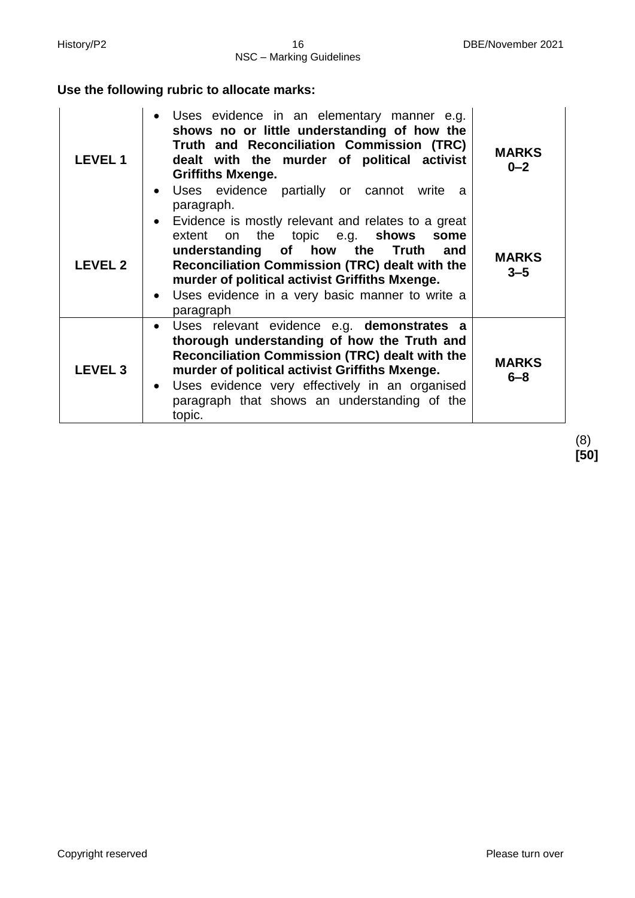# **Use the following rubric to allocate marks:**

| <b>LEVEL1</b>  | Uses evidence in an elementary manner e.g.<br>$\bullet$<br>shows no or little understanding of how the<br>Truth and Reconciliation Commission (TRC)<br>dealt with the murder of political activist<br><b>Griffiths Mxenge.</b><br>Uses evidence partially or cannot write a<br>$\bullet$<br>paragraph.                                         | <b>MARKS</b><br>$0 - 2$ |
|----------------|------------------------------------------------------------------------------------------------------------------------------------------------------------------------------------------------------------------------------------------------------------------------------------------------------------------------------------------------|-------------------------|
| <b>LEVEL 2</b> | Evidence is mostly relevant and relates to a great<br>$\bullet$<br>extent on the topic e.g. <b>shows some</b><br>understanding of how the Truth<br>and<br><b>Reconciliation Commission (TRC) dealt with the</b><br>murder of political activist Griffiths Mxenge.<br>Uses evidence in a very basic manner to write a<br>$\bullet$<br>paragraph | <b>MARKS</b><br>$3 - 5$ |
| <b>LEVEL 3</b> | Uses relevant evidence e.g. demonstrates a<br>$\bullet$<br>thorough understanding of how the Truth and<br><b>Reconciliation Commission (TRC) dealt with the</b><br>murder of political activist Griffiths Mxenge.<br>Uses evidence very effectively in an organised<br>$\bullet$<br>paragraph that shows an understanding of the<br>topic.     | <b>MARKS</b><br>$6 - 8$ |

(8) **[50]**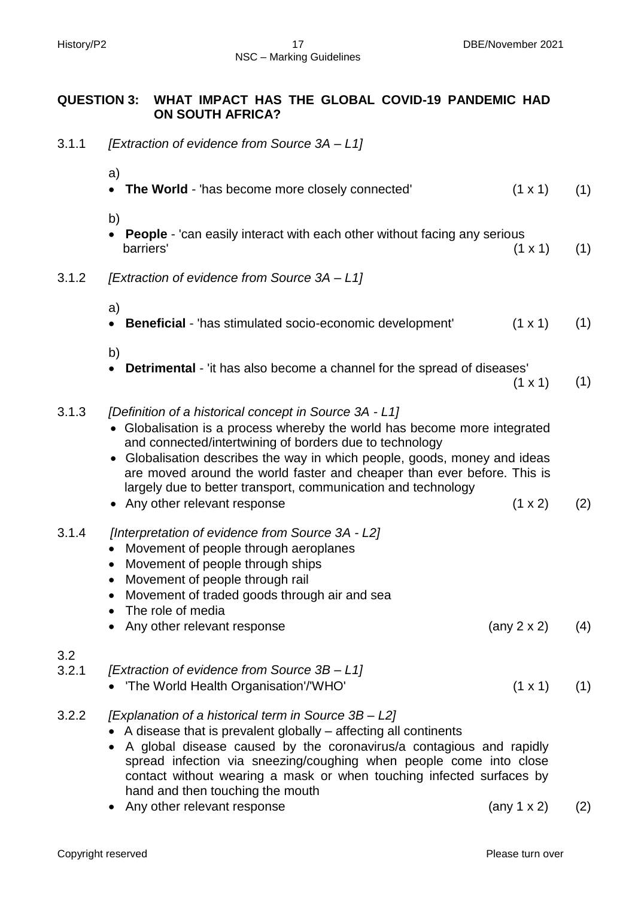# **QUESTION 3: WHAT IMPACT HAS THE GLOBAL COVID-19 PANDEMIC HAD ON SOUTH AFRICA?**

3.1.1 *[Extraction of evidence from Source 3A – L1]*

|              | a)<br>The World - 'has become more closely connected'                                                                                                                                                                                                                                                                                                                                                               | $(1 \times 1)$      | (1) |
|--------------|---------------------------------------------------------------------------------------------------------------------------------------------------------------------------------------------------------------------------------------------------------------------------------------------------------------------------------------------------------------------------------------------------------------------|---------------------|-----|
|              | b)                                                                                                                                                                                                                                                                                                                                                                                                                  |                     |     |
|              | People - 'can easily interact with each other without facing any serious<br>$\bullet$<br>barriers'                                                                                                                                                                                                                                                                                                                  | $(1 \times 1)$      | (1) |
| 3.1.2        | [Extraction of evidence from Source 3A - L1]                                                                                                                                                                                                                                                                                                                                                                        |                     |     |
|              | a)                                                                                                                                                                                                                                                                                                                                                                                                                  |                     |     |
|              | Beneficial - 'has stimulated socio-economic development'<br>$\bullet$                                                                                                                                                                                                                                                                                                                                               | $(1 \times 1)$      | (1) |
|              | b)                                                                                                                                                                                                                                                                                                                                                                                                                  |                     |     |
|              | <b>Detrimental</b> - 'it has also become a channel for the spread of diseases'<br>$\bullet$                                                                                                                                                                                                                                                                                                                         |                     | (1) |
|              |                                                                                                                                                                                                                                                                                                                                                                                                                     | $(1 \times 1)$      |     |
| 3.1.3        | [Definition of a historical concept in Source 3A - L1]<br>Globalisation is a process whereby the world has become more integrated<br>and connected/intertwining of borders due to technology<br>Globalisation describes the way in which people, goods, money and ideas<br>are moved around the world faster and cheaper than ever before. This is<br>largely due to better transport, communication and technology |                     |     |
|              | Any other relevant response                                                                                                                                                                                                                                                                                                                                                                                         | (1 x 2)             | (2) |
| 3.1.4        | [Interpretation of evidence from Source 3A - L2]<br>Movement of people through aeroplanes<br>$\bullet$<br>Movement of people through ships<br>$\bullet$<br>Movement of people through rail<br>$\bullet$<br>Movement of traded goods through air and sea<br>$\bullet$<br>The role of media<br>$\bullet$                                                                                                              |                     |     |
|              | Any other relevant response                                                                                                                                                                                                                                                                                                                                                                                         | (any $2 \times 2$ ) | (4) |
| 3.2<br>3.2.1 | [Extraction of evidence from Source 3B - L1]                                                                                                                                                                                                                                                                                                                                                                        |                     |     |
|              | • 'The World Health Organisation'/'WHO'                                                                                                                                                                                                                                                                                                                                                                             | $(1 \times 1)$      | (1) |
| 3.2.2        | [Explanation of a historical term in Source 3B - L2]<br>A disease that is prevalent globally – affecting all continents<br>A global disease caused by the coronavirus/a contagious and rapidly<br>spread infection via sneezing/coughing when people come into close                                                                                                                                                |                     |     |

- contact without wearing a mask or when touching infected surfaces by hand and then touching the mouth • Any other relevant response (any 1 x 2) (2)
- Copyright reserved **Please** turn over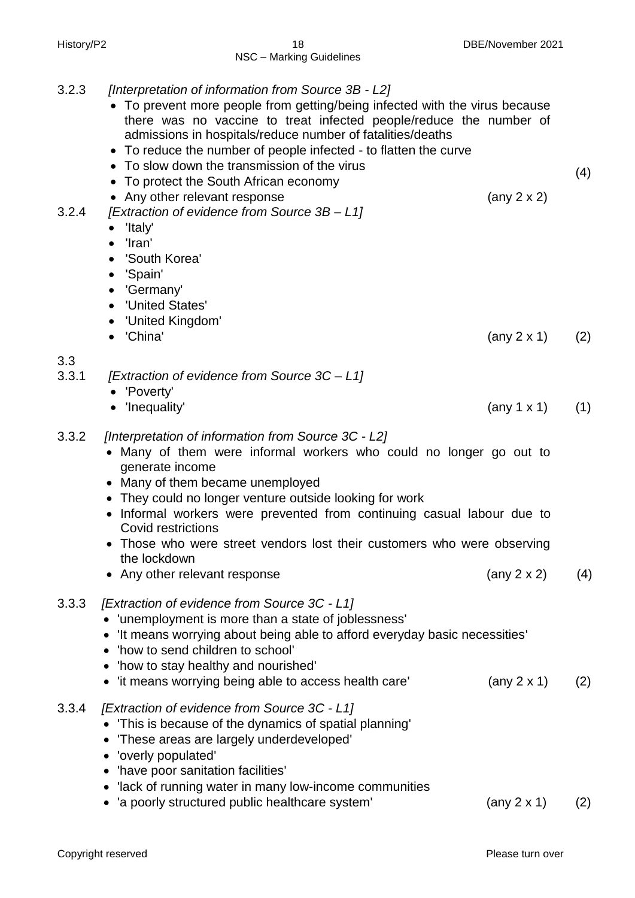| 3.2.3        | [Interpretation of information from Source 3B - L2]<br>• To prevent more people from getting/being infected with the virus because<br>there was no vaccine to treat infected people/reduce the number of<br>admissions in hospitals/reduce number of fatalities/deaths<br>• To reduce the number of people infected - to flatten the curve<br>• To slow down the transmission of the virus<br>To protect the South African economy   |                            | (4) |
|--------------|--------------------------------------------------------------------------------------------------------------------------------------------------------------------------------------------------------------------------------------------------------------------------------------------------------------------------------------------------------------------------------------------------------------------------------------|----------------------------|-----|
| 3.2.4        | • Any other relevant response<br>[Extraction of evidence from Source 3B - L1]<br>'Italy'<br>$\bullet$<br>'Iran'<br>$\bullet$<br>'South Korea'<br>$\bullet$<br>'Spain'<br>$\bullet$<br>'Germany'<br>$\bullet$<br>'United States'<br>'United Kingdom'                                                                                                                                                                                  | (any $2 \times 2$ )        |     |
|              | 'China'                                                                                                                                                                                                                                                                                                                                                                                                                              | $(\text{any } 2 \times 1)$ | (2) |
| 3.3<br>3.3.1 | [Extraction of evidence from Source 3C - L1]<br>• 'Poverty'                                                                                                                                                                                                                                                                                                                                                                          |                            |     |
|              | • 'Inequality'                                                                                                                                                                                                                                                                                                                                                                                                                       | $(\text{any } 1 \times 1)$ | (1) |
| 3.3.2        | [Interpretation of information from Source 3C - L2]<br>Many of them were informal workers who could no longer go out to<br>generate income<br>• Many of them became unemployed<br>• They could no longer venture outside looking for work<br>• Informal workers were prevented from continuing casual labour due to<br>Covid restrictions<br>• Those who were street vendors lost their customers who were observing<br>the lockdown |                            |     |
|              | Any other relevant response                                                                                                                                                                                                                                                                                                                                                                                                          | $(\text{any } 2 \times 2)$ | (4) |
| 3.3.3        | [Extraction of evidence from Source 3C - L1]<br>• 'unemployment is more than a state of joblessness'<br>• It means worrying about being able to afford everyday basic necessities'<br>'how to send children to school'<br>• 'how to stay healthy and nourished'<br>• 'it means worrying being able to access health care'                                                                                                            | $(\text{any } 2 \times 1)$ | (2) |
| 3.3.4        | [Extraction of evidence from Source 3C - L1]<br>• This is because of the dynamics of spatial planning'<br>'These areas are largely underdeveloped'<br>• 'overly populated'<br>• 'have poor sanitation facilities'<br>• 'lack of running water in many low-income communities                                                                                                                                                         |                            |     |
|              | • 'a poorly structured public healthcare system'                                                                                                                                                                                                                                                                                                                                                                                     | $(\text{any } 2 \times 1)$ | (2) |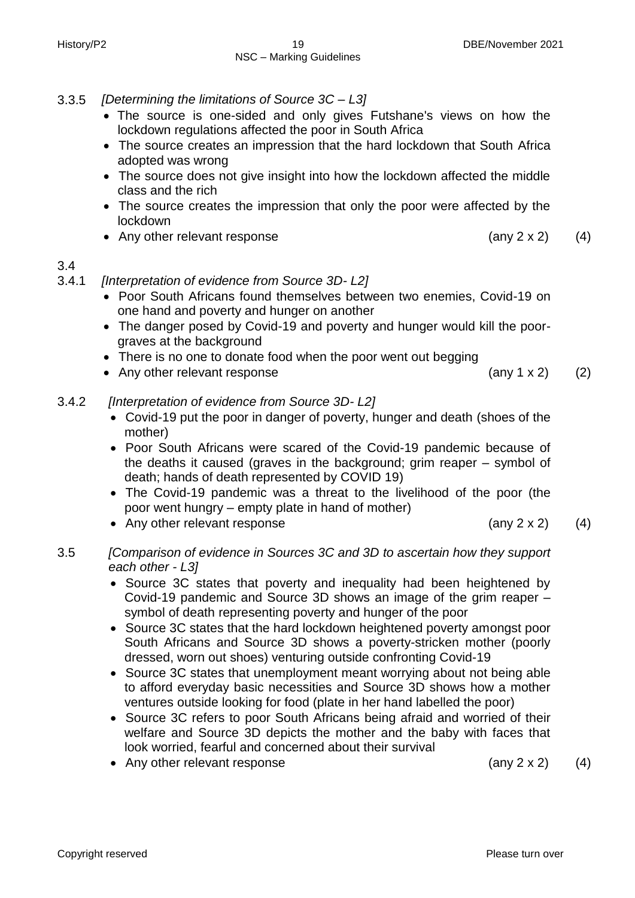- 3.3.5 *[Determining the limitations of Source 3C – L3]*
	- The source is one-sided and only gives Futshane's views on how the lockdown regulations affected the poor in South Africa
	- The source creates an impression that the hard lockdown that South Africa adopted was wrong
	- The source does not give insight into how the lockdown affected the middle class and the rich
	- The source creates the impression that only the poor were affected by the lockdown
	- Any other relevant response  $(4)$

# 3.4

- 3.4.1 *[Interpretation of evidence from Source 3D- L2]*
	- Poor South Africans found themselves between two enemies, Covid-19 on one hand and poverty and hunger on another
	- The danger posed by Covid-19 and poverty and hunger would kill the poorgraves at the background
	- There is no one to donate food when the poor went out begging
	- Any other relevant response  $(2)$

# 3.4.2 *[Interpretation of evidence from Source 3D- L2]*

- Covid-19 put the poor in danger of poverty, hunger and death (shoes of the mother)
- Poor South Africans were scared of the Covid-19 pandemic because of the deaths it caused (graves in the background; grim reaper – symbol of death; hands of death represented by COVID 19)
- The Covid-19 pandemic was a threat to the livelihood of the poor (the poor went hungry – empty plate in hand of mother)
- Any other relevant response (any 2 x 2) (4)
- 3.5 *[Comparison of evidence in Sources 3C and 3D to ascertain how they support each other - L3]*
	- Source 3C states that poverty and inequality had been heightened by Covid-19 pandemic and Source 3D shows an image of the grim reaper – symbol of death representing poverty and hunger of the poor
	- Source 3C states that the hard lockdown heightened poverty amongst poor South Africans and Source 3D shows a poverty-stricken mother (poorly dressed, worn out shoes) venturing outside confronting Covid-19
	- Source 3C states that unemployment meant worrving about not being able to afford everyday basic necessities and Source 3D shows how a mother ventures outside looking for food (plate in her hand labelled the poor)
	- Source 3C refers to poor South Africans being afraid and worried of their welfare and Source 3D depicts the mother and the baby with faces that look worried, fearful and concerned about their survival
	- Any other relevant response (any 2 x 2) (4)
		-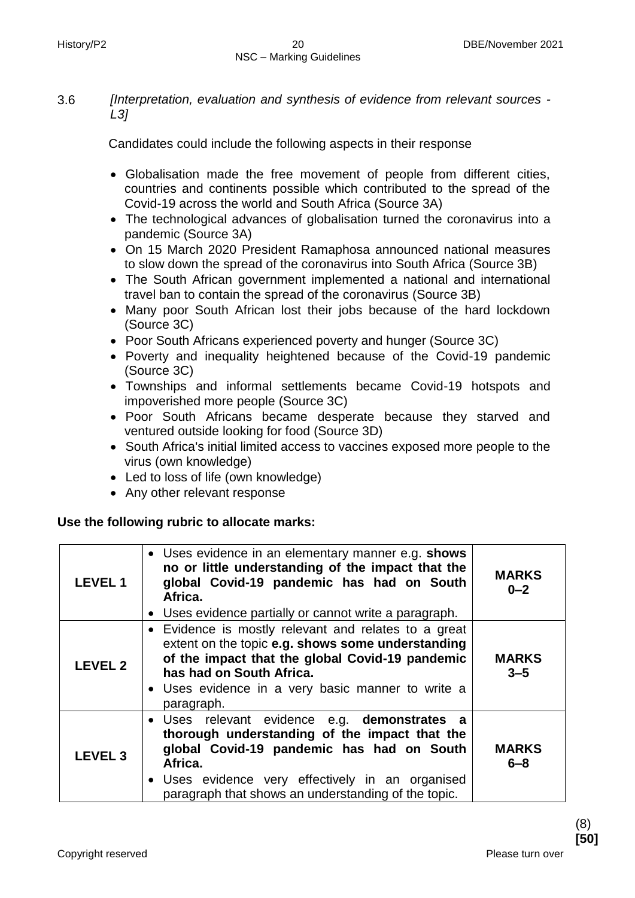3.6 *[Interpretation, evaluation and synthesis of evidence from relevant sources - L3]*

Candidates could include the following aspects in their response

- Globalisation made the free movement of people from different cities, countries and continents possible which contributed to the spread of the Covid-19 across the world and South Africa (Source 3A)
- The technological advances of globalisation turned the coronavirus into a pandemic (Source 3A)
- On 15 March 2020 President Ramaphosa announced national measures to slow down the spread of the coronavirus into South Africa (Source 3B)
- The South African government implemented a national and international travel ban to contain the spread of the coronavirus (Source 3B)
- Many poor South African lost their jobs because of the hard lockdown (Source 3C)
- Poor South Africans experienced poverty and hunger (Source 3C)
- Poverty and inequality heightened because of the Covid-19 pandemic (Source 3C)
- Townships and informal settlements became Covid-19 hotspots and impoverished more people (Source 3C)
- Poor South Africans became desperate because they starved and ventured outside looking for food (Source 3D)
- South Africa's initial limited access to vaccines exposed more people to the virus (own knowledge)
- Led to loss of life (own knowledge)
- Any other relevant response

# **Use the following rubric to allocate marks:**

| <b>LEVEL1</b>  | • Uses evidence in an elementary manner e.g. shows<br>no or little understanding of the impact that the<br>global Covid-19 pandemic has had on South<br>Africa.<br>• Uses evidence partially or cannot write a paragraph.                                        | <b>MARKS</b><br>$0 - 2$ |
|----------------|------------------------------------------------------------------------------------------------------------------------------------------------------------------------------------------------------------------------------------------------------------------|-------------------------|
| <b>LEVEL 2</b> | • Evidence is mostly relevant and relates to a great<br>extent on the topic e.g. shows some understanding<br>of the impact that the global Covid-19 pandemic<br>has had on South Africa.<br>• Uses evidence in a very basic manner to write a<br>paragraph.      | <b>MARKS</b><br>$3 - 5$ |
| <b>LEVEL 3</b> | · Uses relevant evidence e.g. demonstrates a<br>thorough understanding of the impact that the<br>global Covid-19 pandemic has had on South<br>Africa.<br>• Uses evidence very effectively in an organised<br>paragraph that shows an understanding of the topic. | <b>MARKS</b><br>$6 - 8$ |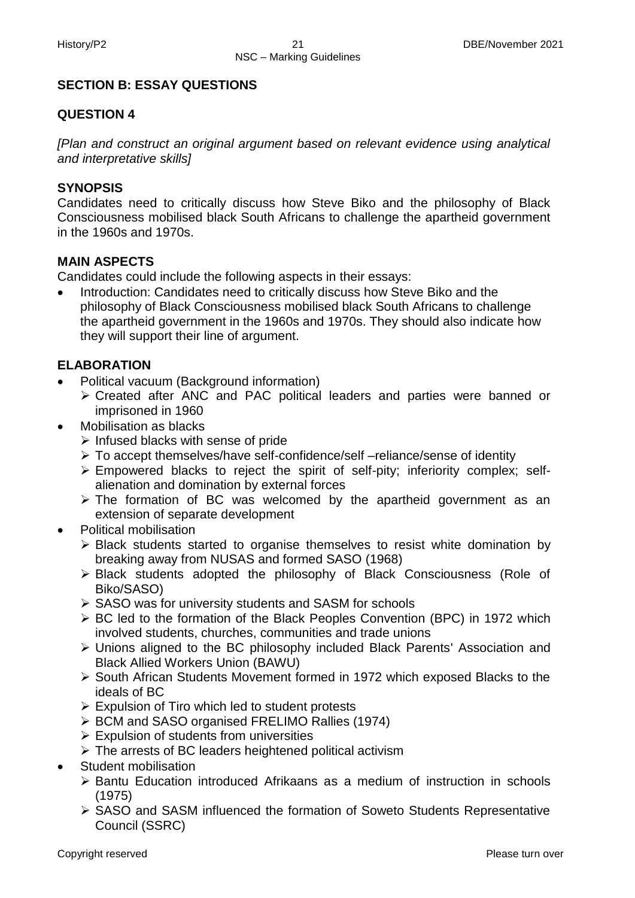#### **SECTION B: ESSAY QUESTIONS**

#### **QUESTION 4**

*[Plan and construct an original argument based on relevant evidence using analytical and interpretative skills]*

#### **SYNOPSIS**

Candidates need to critically discuss how Steve Biko and the philosophy of Black Consciousness mobilised black South Africans to challenge the apartheid government in the 1960s and 1970s.

#### **MAIN ASPECTS**

Candidates could include the following aspects in their essays:

• Introduction: Candidates need to critically discuss how Steve Biko and the philosophy of Black Consciousness mobilised black South Africans to challenge the apartheid government in the 1960s and 1970s. They should also indicate how they will support their line of argument.

#### **ELABORATION**

- Political vacuum (Background information)
	- Created after ANC and PAC political leaders and parties were banned or imprisoned in 1960
- Mobilisation as blacks
	- $\triangleright$  Infused blacks with sense of pride
	- To accept themselves/have self-confidence/self –reliance/sense of identity
	- $\triangleright$  Empowered blacks to reject the spirit of self-pity; inferiority complex; selfalienation and domination by external forces
	- $\triangleright$  The formation of BC was welcomed by the apartheid government as an extension of separate development
- Political mobilisation
	- Black students started to organise themselves to resist white domination by breaking away from NUSAS and formed SASO (1968)
	- Black students adopted the philosophy of Black Consciousness (Role of Biko/SASO)
	- $\triangleright$  SASO was for university students and SASM for schools
	- $\triangleright$  BC led to the formation of the Black Peoples Convention (BPC) in 1972 which involved students, churches, communities and trade unions
	- Unions aligned to the BC philosophy included Black Parents' Association and Black Allied Workers Union (BAWU)
	- South African Students Movement formed in 1972 which exposed Blacks to the ideals of BC
	- $\triangleright$  Expulsion of Tiro which led to student protests
	- BCM and SASO organised FRELIMO Rallies (1974)
	- $\triangleright$  Expulsion of students from universities
	- $\triangleright$  The arrests of BC leaders heightened political activism
- Student mobilisation
	- $\triangleright$  Bantu Education introduced Afrikaans as a medium of instruction in schools (1975)
	- ▶ SASO and SASM influenced the formation of Soweto Students Representative Council (SSRC)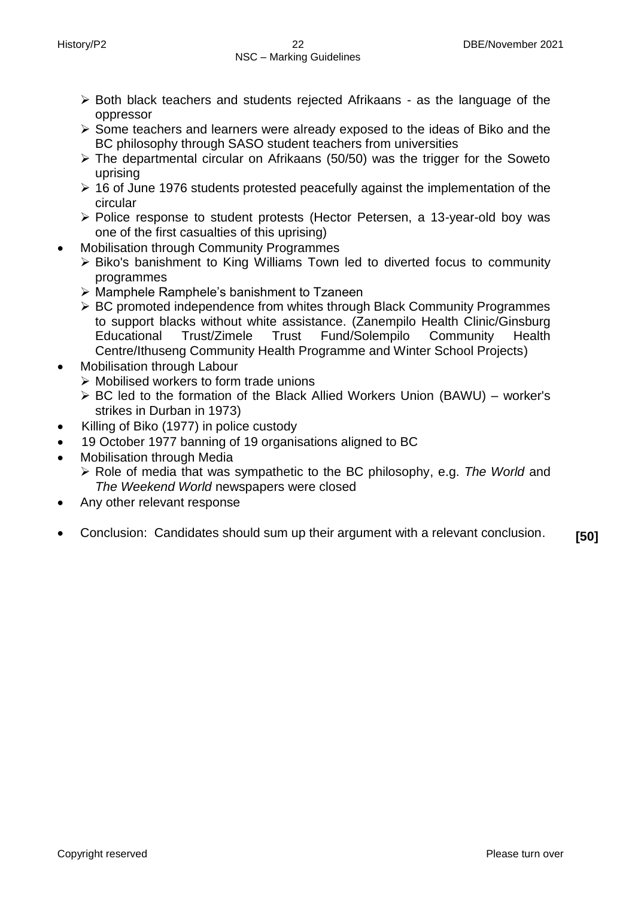- $\triangleright$  Both black teachers and students rejected Afrikaans as the language of the oppressor
- $\triangleright$  Some teachers and learners were already exposed to the ideas of Biko and the BC philosophy through SASO student teachers from universities
- $\triangleright$  The departmental circular on Afrikaans (50/50) was the trigger for the Soweto uprising
- $\geq$  16 of June 1976 students protested peacefully against the implementation of the circular
- Police response to student protests (Hector Petersen, a 13-year-old boy was one of the first casualties of this uprising)
- Mobilisation through Community Programmes
	- Biko's banishment to King Williams Town led to diverted focus to community programmes
	- $\triangleright$  Mamphele Ramphele's banishment to Tzaneen
	- ▶ BC promoted independence from whites through Black Community Programmes to support blacks without white assistance. (Zanempilo Health Clinic/Ginsburg Educational Trust/Zimele Trust Fund/Solempilo Community Health Centre/Ithuseng Community Health Programme and Winter School Projects)
- Mobilisation through Labour
	- $\triangleright$  Mobilised workers to form trade unions
	- $\triangleright$  BC led to the formation of the Black Allied Workers Union (BAWU) worker's strikes in Durban in 1973)
- Killing of Biko (1977) in police custody
- 19 October 1977 banning of 19 organisations aligned to BC
- Mobilisation through Media
	- Role of media that was sympathetic to the BC philosophy, e.g. *The World* and *The Weekend World* newspapers were closed
- Any other relevant response
- Conclusion: Candidates should sum up their argument with a relevant conclusion. **[50]**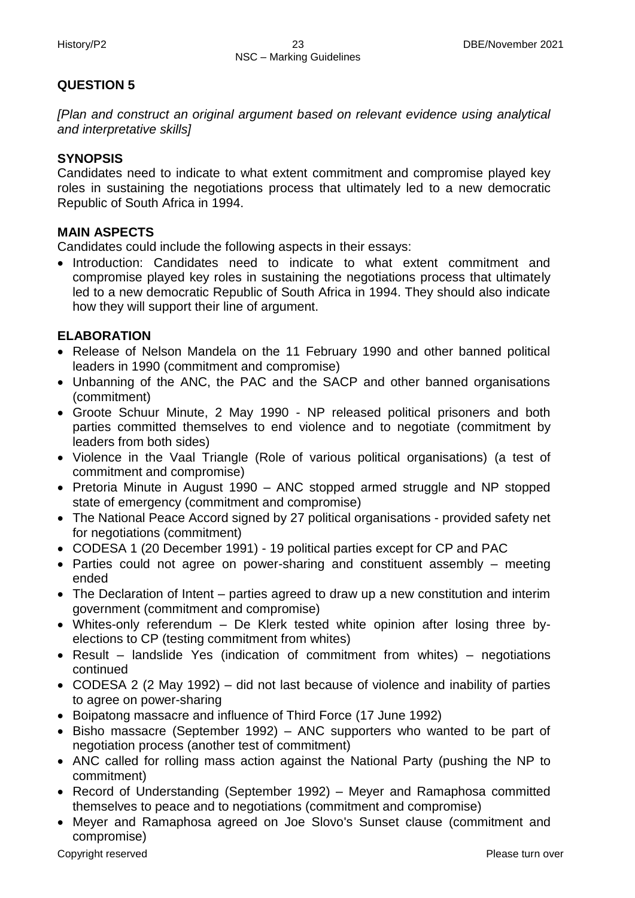# **QUESTION 5**

*[Plan and construct an original argument based on relevant evidence using analytical and interpretative skills]*

# **SYNOPSIS**

Candidates need to indicate to what extent commitment and compromise played key roles in sustaining the negotiations process that ultimately led to a new democratic Republic of South Africa in 1994.

# **MAIN ASPECTS**

Candidates could include the following aspects in their essays:

• Introduction: Candidates need to indicate to what extent commitment and compromise played key roles in sustaining the negotiations process that ultimately led to a new democratic Republic of South Africa in 1994. They should also indicate how they will support their line of argument.

# **ELABORATION**

- Release of Nelson Mandela on the 11 February 1990 and other banned political leaders in 1990 (commitment and compromise)
- Unbanning of the ANC, the PAC and the SACP and other banned organisations (commitment)
- Groote Schuur Minute, 2 May 1990 NP released political prisoners and both parties committed themselves to end violence and to negotiate (commitment by leaders from both sides)
- Violence in the Vaal Triangle (Role of various political organisations) (a test of commitment and compromise)
- Pretoria Minute in August 1990 ANC stopped armed struggle and NP stopped state of emergency (commitment and compromise)
- The National Peace Accord signed by 27 political organisations provided safety net for negotiations (commitment)
- CODESA 1 (20 December 1991) 19 political parties except for CP and PAC
- Parties could not agree on power-sharing and constituent assembly meeting ended
- The Declaration of Intent parties agreed to draw up a new constitution and interim government (commitment and compromise)
- Whites-only referendum De Klerk tested white opinion after losing three byelections to CP (testing commitment from whites)
- Result landslide Yes (indication of commitment from whites) negotiations continued
- CODESA 2 (2 May 1992) did not last because of violence and inability of parties to agree on power-sharing
- Boipatong massacre and influence of Third Force (17 June 1992)
- Bisho massacre (September 1992) ANC supporters who wanted to be part of negotiation process (another test of commitment)
- ANC called for rolling mass action against the National Party (pushing the NP to commitment)
- Record of Understanding (September 1992) Meyer and Ramaphosa committed themselves to peace and to negotiations (commitment and compromise)
- Meyer and Ramaphosa agreed on Joe Slovo's Sunset clause (commitment and compromise)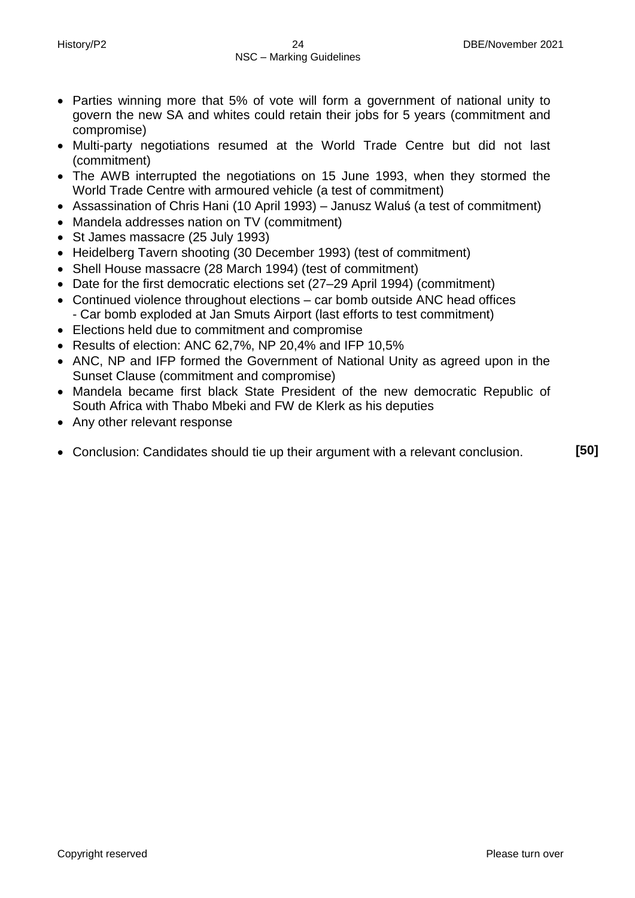- Parties winning more that 5% of vote will form a government of national unity to govern the new SA and whites could retain their jobs for 5 years (commitment and compromise)
- Multi-party negotiations resumed at the World Trade Centre but did not last (commitment)
- The AWB interrupted the negotiations on 15 June 1993, when they stormed the World Trade Centre with armoured vehicle (a test of commitment)
- Assassination of Chris Hani (10 April 1993) Janusz Waluś (a test of commitment)
- Mandela addresses nation on TV (commitment)
- St James massacre (25 July 1993)
- Heidelberg Tavern shooting (30 December 1993) (test of commitment)
- Shell House massacre (28 March 1994) (test of commitment)
- Date for the first democratic elections set (27–29 April 1994) (commitment)
- Continued violence throughout elections car bomb outside ANC head offices - Car bomb exploded at Jan Smuts Airport (last efforts to test commitment)
- Elections held due to commitment and compromise
- Results of election: ANC 62,7%, NP 20,4% and IFP 10,5%
- ANC, NP and IFP formed the Government of National Unity as agreed upon in the Sunset Clause (commitment and compromise)
- Mandela became first black State President of the new democratic Republic of South Africa with Thabo Mbeki and FW de Klerk as his deputies
- Any other relevant response
- Conclusion: Candidates should tie up their argument with a relevant conclusion. **[50]**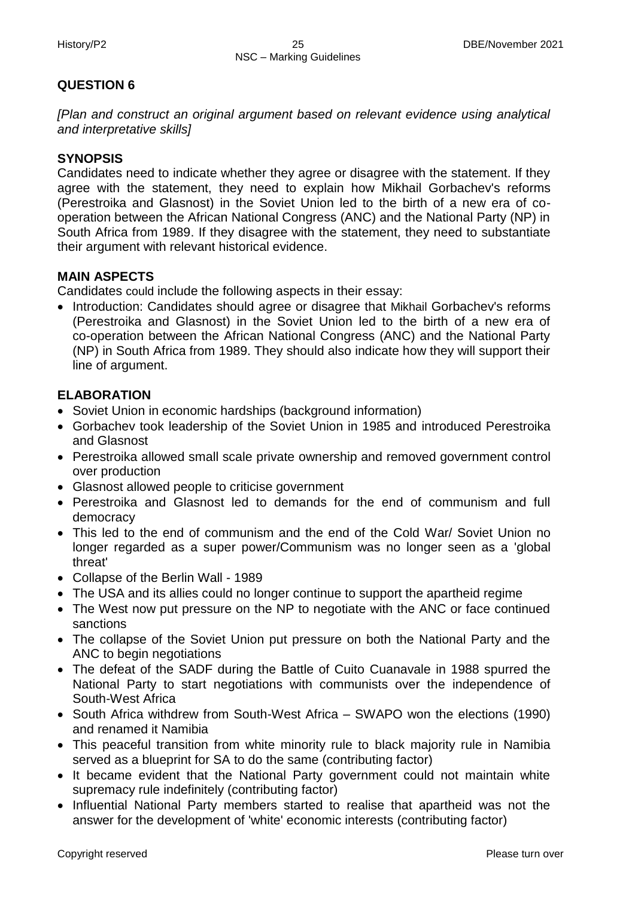# **QUESTION 6**

*[Plan and construct an original argument based on relevant evidence using analytical and interpretative skills]*

# **SYNOPSIS**

Candidates need to indicate whether they agree or disagree with the statement. If they agree with the statement, they need to explain how Mikhail Gorbachev's reforms (Perestroika and Glasnost) in the Soviet Union led to the birth of a new era of cooperation between the African National Congress (ANC) and the National Party (NP) in South Africa from 1989. If they disagree with the statement, they need to substantiate their argument with relevant historical evidence.

# **MAIN ASPECTS**

Candidates could include the following aspects in their essay:

• Introduction: Candidates should agree or disagree that Mikhail Gorbachev's reforms (Perestroika and Glasnost) in the Soviet Union led to the birth of a new era of co-operation between the African National Congress (ANC) and the National Party (NP) in South Africa from 1989. They should also indicate how they will support their line of argument.

# **ELABORATION**

- Soviet Union in economic hardships (background information)
- Gorbachev took leadership of the Soviet Union in 1985 and introduced Perestroika and Glasnost
- Perestroika allowed small scale private ownership and removed government control over production
- Glasnost allowed people to criticise government
- Perestroika and Glasnost led to demands for the end of communism and full democracy
- This led to the end of communism and the end of the Cold War/ Soviet Union no longer regarded as a super power/Communism was no longer seen as a 'global threat'
- Collapse of the Berlin Wall 1989
- The USA and its allies could no longer continue to support the apartheid regime
- The West now put pressure on the NP to negotiate with the ANC or face continued sanctions
- The collapse of the Soviet Union put pressure on both the National Party and the ANC to begin negotiations
- The defeat of the SADF during the Battle of Cuito Cuanavale in 1988 spurred the National Party to start negotiations with communists over the independence of South-West Africa
- South Africa withdrew from South-West Africa SWAPO won the elections (1990) and renamed it Namibia
- This peaceful transition from white minority rule to black majority rule in Namibia served as a blueprint for SA to do the same (contributing factor)
- It became evident that the National Party government could not maintain white supremacy rule indefinitely (contributing factor)
- Influential National Party members started to realise that apartheid was not the answer for the development of 'white' economic interests (contributing factor)